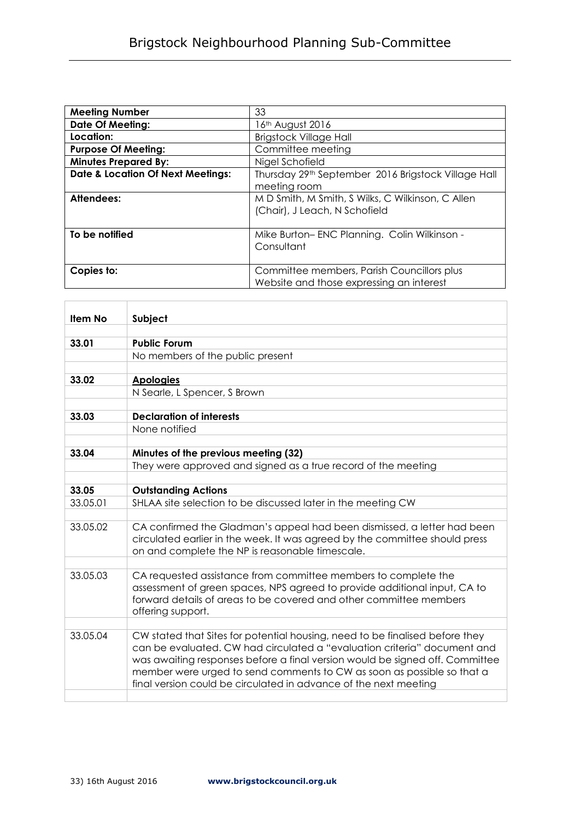| <b>Meeting Number</b>                        | 33                                                                                 |
|----------------------------------------------|------------------------------------------------------------------------------------|
| <b>Date Of Meeting:</b>                      | 16th August 2016                                                                   |
| Location:                                    | <b>Brigstock Village Hall</b>                                                      |
| <b>Purpose Of Meeting:</b>                   | Committee meeting                                                                  |
| <b>Minutes Prepared By:</b>                  | Nigel Schofield                                                                    |
| <b>Date &amp; Location Of Next Meetings:</b> | Thursday 29th September 2016 Brigstock Village Hall<br>meeting room                |
|                                              |                                                                                    |
| Attendees:                                   | M D Smith, M Smith, S Wilks, C Wilkinson, C Allen<br>(Chair), J Leach, N Schofield |
|                                              |                                                                                    |
| To be notified                               | Mike Burton-ENC Planning. Colin Wilkinson -                                        |
|                                              | Consultant                                                                         |
|                                              |                                                                                    |
| Copies to:                                   | Committee members, Parish Councillors plus                                         |
|                                              | Website and those expressing an interest                                           |

| <b>Item No</b> | Subject                                                                      |
|----------------|------------------------------------------------------------------------------|
|                |                                                                              |
| 33.01          | <b>Public Forum</b>                                                          |
|                | No members of the public present                                             |
|                |                                                                              |
| 33.02          | <b>Apologies</b>                                                             |
|                | N Searle, L Spencer, S Brown                                                 |
|                |                                                                              |
| 33.03          | <b>Declaration of interests</b>                                              |
|                | None notified                                                                |
|                |                                                                              |
| 33.04          | Minutes of the previous meeting (32)                                         |
|                | They were approved and signed as a true record of the meeting                |
|                |                                                                              |
| 33.05          | <b>Outstanding Actions</b>                                                   |
| 33.05.01       | SHLAA site selection to be discussed later in the meeting CW                 |
| 33.05.02       | CA confirmed the Gladman's appeal had been dismissed, a letter had been      |
|                | circulated earlier in the week. It was agreed by the committee should press  |
|                | on and complete the NP is reasonable timescale.                              |
|                |                                                                              |
| 33.05.03       | CA requested assistance from committee members to complete the               |
|                | assessment of green spaces, NPS agreed to provide additional input, CA to    |
|                | forward details of areas to be covered and other committee members           |
|                | offering support.                                                            |
|                |                                                                              |
| 33.05.04       | CW stated that Sites for potential housing, need to be finalised before they |
|                | can be evaluated. CW had circulated a "evaluation criteria" document and     |
|                | was awaiting responses before a final version would be signed off. Committee |
|                | member were urged to send comments to CW as soon as possible so that a       |
|                | final version could be circulated in advance of the next meeting             |
|                |                                                                              |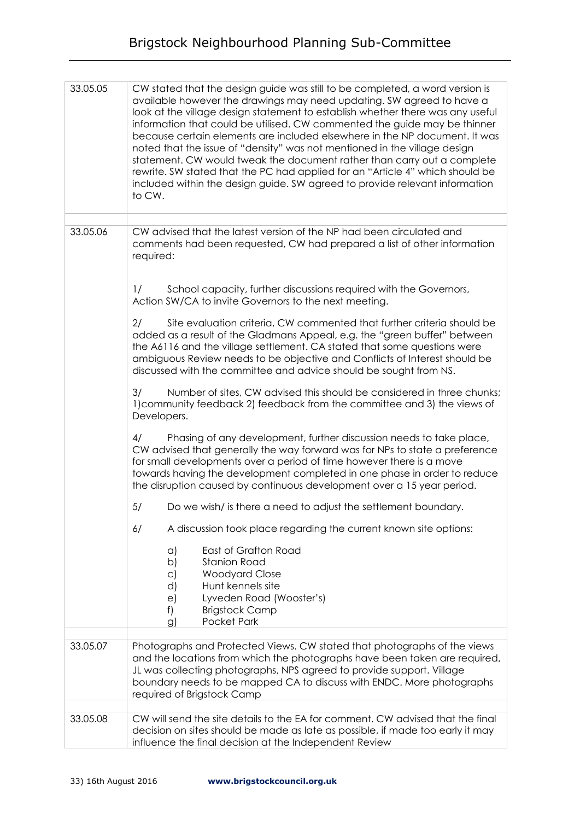## Brigstock Neighbourhood Planning Sub-Committee

| 33.05.05 | CW stated that the design guide was still to be completed, a word version is<br>available however the drawings may need updating. SW agreed to have a<br>look at the village design statement to establish whether there was any useful<br>information that could be utilised. CW commented the guide may be thinner<br>because certain elements are included elsewhere in the NP document. It was<br>noted that the issue of "density" was not mentioned in the village design<br>statement. CW would tweak the document rather than carry out a complete<br>rewrite. SW stated that the PC had applied for an "Article 4" which should be<br>included within the design guide. SW agreed to provide relevant information<br>to CW. |
|----------|--------------------------------------------------------------------------------------------------------------------------------------------------------------------------------------------------------------------------------------------------------------------------------------------------------------------------------------------------------------------------------------------------------------------------------------------------------------------------------------------------------------------------------------------------------------------------------------------------------------------------------------------------------------------------------------------------------------------------------------|
|          |                                                                                                                                                                                                                                                                                                                                                                                                                                                                                                                                                                                                                                                                                                                                      |
| 33.05.06 | CW advised that the latest version of the NP had been circulated and<br>comments had been requested, CW had prepared a list of other information<br>required:                                                                                                                                                                                                                                                                                                                                                                                                                                                                                                                                                                        |
|          | School capacity, further discussions required with the Governors,<br>1/<br>Action SW/CA to invite Governors to the next meeting.                                                                                                                                                                                                                                                                                                                                                                                                                                                                                                                                                                                                     |
|          | Site evaluation criteria, CW commented that further criteria should be<br>2/<br>added as a result of the Gladmans Appeal, e.g. the "green buffer" between<br>the A6116 and the village settlement. CA stated that some questions were<br>ambiguous Review needs to be objective and Conflicts of Interest should be<br>discussed with the committee and advice should be sought from NS.                                                                                                                                                                                                                                                                                                                                             |
|          | 3/<br>Number of sites, CW advised this should be considered in three chunks;<br>1) community feedback 2) feedback from the committee and 3) the views of<br>Developers.                                                                                                                                                                                                                                                                                                                                                                                                                                                                                                                                                              |
|          | Phasing of any development, further discussion needs to take place,<br>4/<br>CW advised that generally the way forward was for NPs to state a preference<br>for small developments over a period of time however there is a move<br>towards having the development completed in one phase in order to reduce<br>the disruption caused by continuous development over a 15 year period.                                                                                                                                                                                                                                                                                                                                               |
|          | 5/<br>Do we wish/ is there a need to adjust the settlement boundary.                                                                                                                                                                                                                                                                                                                                                                                                                                                                                                                                                                                                                                                                 |
|          | 6/<br>A discussion took place regarding the current known site options:                                                                                                                                                                                                                                                                                                                                                                                                                                                                                                                                                                                                                                                              |
|          | East of Grafton Road<br>$\alpha$<br>b)<br><b>Stanion Road</b><br><b>Woodyard Close</b><br>$\circ$ )<br>Hunt kennels site<br>d)<br>Lyveden Road (Wooster's)<br>$\epsilon$<br>f)<br><b>Brigstock Camp</b><br>Pocket Park<br>$\mathcal{G}$                                                                                                                                                                                                                                                                                                                                                                                                                                                                                              |
|          |                                                                                                                                                                                                                                                                                                                                                                                                                                                                                                                                                                                                                                                                                                                                      |
| 33.05.07 | Photographs and Protected Views. CW stated that photographs of the views<br>and the locations from which the photographs have been taken are required,<br>JL was collecting photographs, NPS agreed to provide support. Village<br>boundary needs to be mapped CA to discuss with ENDC. More photographs<br>required of Brigstock Camp                                                                                                                                                                                                                                                                                                                                                                                               |
| 33.05.08 | CW will send the site details to the EA for comment. CW advised that the final                                                                                                                                                                                                                                                                                                                                                                                                                                                                                                                                                                                                                                                       |
|          | decision on sites should be made as late as possible, if made too early it may<br>influence the final decision at the Independent Review                                                                                                                                                                                                                                                                                                                                                                                                                                                                                                                                                                                             |